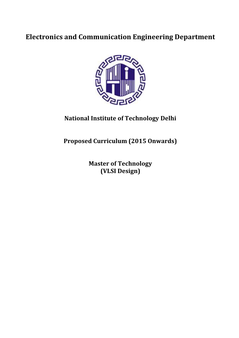# **Electronics and Communication Engineering Department**



## **National Institute of Technology Delhi**

**Proposed Curriculum (2015 Onwards)** 

**Master of Technology (VLSI Design)**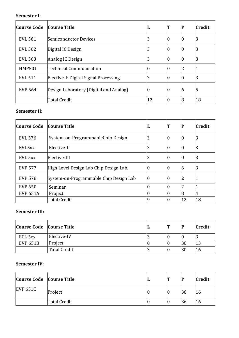### **Semester I:**

| <b>Course Code</b> | <b>Course Title</b>                    | ш  |   | P | <b>Credit</b> |
|--------------------|----------------------------------------|----|---|---|---------------|
| <b>EVL 561</b>     | Semiconductor Devices                  | 3  | Ю | υ | 3             |
| <b>EVL 562</b>     | Digital IC Design                      | 3  | Ю |   | 3             |
| <b>EVL 563</b>     | Analog IC Design                       | 3  | Ю |   | 3             |
| <b>HMP501</b>      | Technical Communication                | 0  | ю | 2 |               |
| <b>EVL 511</b>     | Elective-I: Digital Signal Processing  | 3  | Ю |   | 3             |
| <b>EVP 564</b>     | Design Laboratory (Digital and Analog) | 0  | Ю | 6 | 5             |
|                    | Total Credit                           | 12 |   | 8 | 18            |

#### **Semester II:**

| <b>Course Code</b> | <b>Course Title</b>                    |    |   | P  | <b>Credit</b> |
|--------------------|----------------------------------------|----|---|----|---------------|
| <b>EVL 576</b>     | System-on-ProgrammableChip Design      | 3  | 0 | Ю  | 3             |
| EVL5xx             | Elective-II                            | 3  | υ | Ю  | 3             |
| EVL 5xx            | Elective-III                           | 3  | 0 | Ю  | 3             |
| <b>EVP 577</b>     | High Level Design Lab Chip Design Lab. | 0  | 0 | 6  | 3             |
| <b>EVP 578</b>     | System-on-Programmable Chip Design Lab | 10 | U |    |               |
| <b>EVP 650</b>     | Seminar                                | 0  |   |    |               |
| <b>EVP 651A</b>    | Project                                |    |   | 8  | 4             |
|                    | <b>Total Credit</b>                    | 19 |   | 12 | 18            |

#### **Semester III:**

| Course Code Course Title |                     |  | IP | <b>Credit</b> |
|--------------------------|---------------------|--|----|---------------|
| ECL 5xx                  | Elective-IV         |  | 10 |               |
| <b>EVP 651B</b>          | Project             |  | 30 |               |
|                          | <b>Total Credit</b> |  | 30 |               |

#### **Semester IV:**

| Course Code Course Title |              |  | IP | <b>Credit</b> |
|--------------------------|--------------|--|----|---------------|
| <b>EVP 651C</b>          | Project      |  | 36 | 16            |
|                          | Total Credit |  | 36 | 10            |